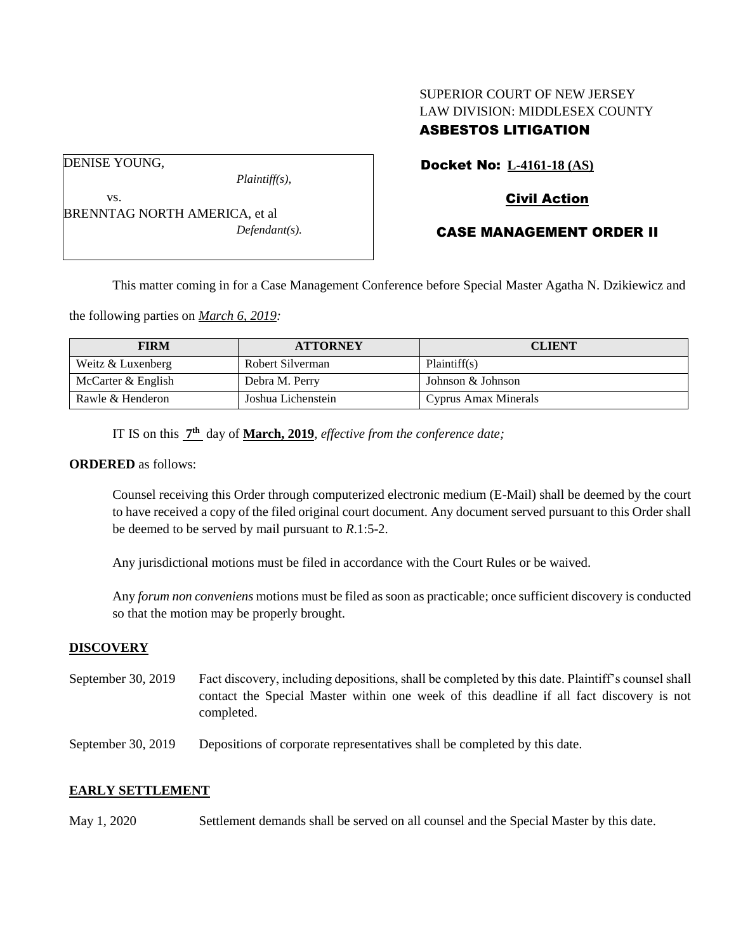# SUPERIOR COURT OF NEW JERSEY LAW DIVISION: MIDDLESEX COUNTY ASBESTOS LITIGATION

DENISE YOUNG,

vs.

*Plaintiff(s),*

# Civil Action

Docket No: **L-4161-18 (AS)**

BRENNTAG NORTH AMERICA, et al *Defendant(s).*

# CASE MANAGEMENT ORDER II

This matter coming in for a Case Management Conference before Special Master Agatha N. Dzikiewicz and

the following parties on *March 6, 2019:*

| <b>FIRM</b>        | <b>ATTORNEY</b>    | <b>CLIENT</b>        |
|--------------------|--------------------|----------------------|
| Weitz & Luxenberg  | Robert Silverman   | Plaintiff(s)         |
| McCarter & English | Debra M. Perry     | Johnson & Johnson    |
| Rawle & Henderon   | Joshua Lichenstein | Cyprus Amax Minerals |

IT IS on this **7 th** day of **March, 2019**, *effective from the conference date;*

### **ORDERED** as follows:

Counsel receiving this Order through computerized electronic medium (E-Mail) shall be deemed by the court to have received a copy of the filed original court document. Any document served pursuant to this Order shall be deemed to be served by mail pursuant to *R*.1:5-2.

Any jurisdictional motions must be filed in accordance with the Court Rules or be waived.

Any *forum non conveniens* motions must be filed as soon as practicable; once sufficient discovery is conducted so that the motion may be properly brought.

### **DISCOVERY**

- September 30, 2019 Fact discovery, including depositions, shall be completed by this date. Plaintiff's counsel shall contact the Special Master within one week of this deadline if all fact discovery is not completed.
- September 30, 2019 Depositions of corporate representatives shall be completed by this date.

# **EARLY SETTLEMENT**

May 1, 2020 Settlement demands shall be served on all counsel and the Special Master by this date.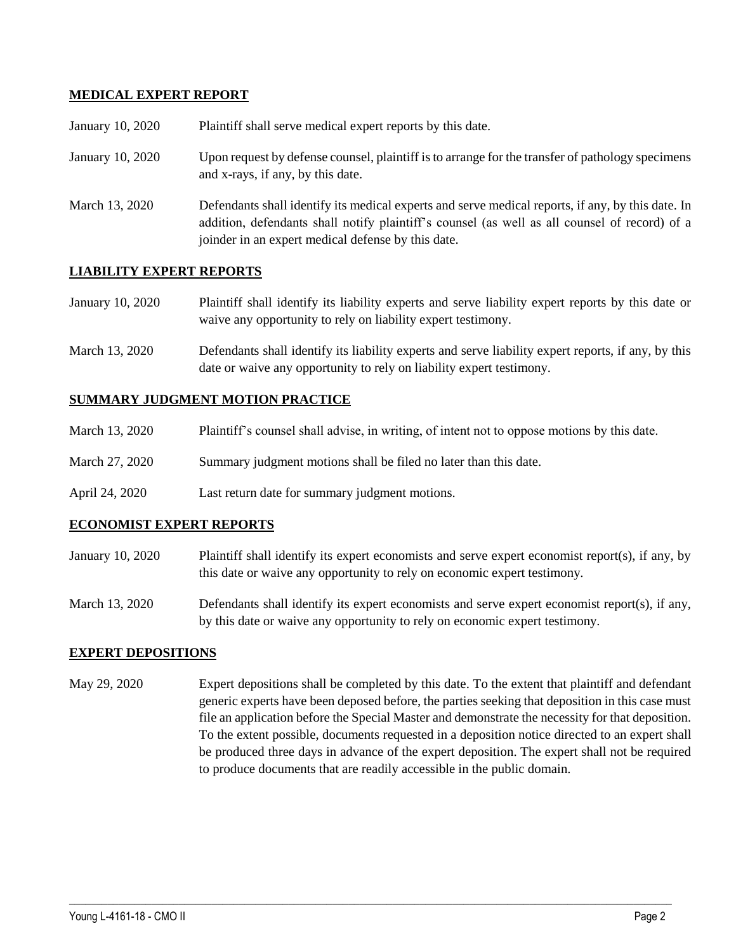## **MEDICAL EXPERT REPORT**

| January 10, 2020 | Plaintiff shall serve medical expert reports by this date.                                                                                                                                                                                               |
|------------------|----------------------------------------------------------------------------------------------------------------------------------------------------------------------------------------------------------------------------------------------------------|
| January 10, 2020 | Upon request by defense counsel, plaintiff is to arrange for the transfer of pathology specimens<br>and x-rays, if any, by this date.                                                                                                                    |
| March 13, 2020   | Defendants shall identify its medical experts and serve medical reports, if any, by this date. In<br>addition, defendants shall notify plaintiff's counsel (as well as all counsel of record) of a<br>joinder in an expert medical defense by this date. |

## **LIABILITY EXPERT REPORTS**

| January 10, 2020 | Plaintiff shall identify its liability experts and serve liability expert reports by this date or |
|------------------|---------------------------------------------------------------------------------------------------|
|                  | waive any opportunity to rely on liability expert testimony.                                      |

March 13, 2020 Defendants shall identify its liability experts and serve liability expert reports, if any, by this date or waive any opportunity to rely on liability expert testimony.

### **SUMMARY JUDGMENT MOTION PRACTICE**

| March 13, 2020 | Plaintiff's counsel shall advise, in writing, of intent not to oppose motions by this date. |  |  |
|----------------|---------------------------------------------------------------------------------------------|--|--|
|----------------|---------------------------------------------------------------------------------------------|--|--|

- March 27, 2020 Summary judgment motions shall be filed no later than this date.
- April 24, 2020 Last return date for summary judgment motions.

### **ECONOMIST EXPERT REPORTS**

- January 10, 2020 Plaintiff shall identify its expert economists and serve expert economist report(s), if any, by this date or waive any opportunity to rely on economic expert testimony.
- March 13, 2020 Defendants shall identify its expert economists and serve expert economist report(s), if any, by this date or waive any opportunity to rely on economic expert testimony.

### **EXPERT DEPOSITIONS**

May 29, 2020 Expert depositions shall be completed by this date. To the extent that plaintiff and defendant generic experts have been deposed before, the parties seeking that deposition in this case must file an application before the Special Master and demonstrate the necessity for that deposition. To the extent possible, documents requested in a deposition notice directed to an expert shall be produced three days in advance of the expert deposition. The expert shall not be required to produce documents that are readily accessible in the public domain.

 $\_$  ,  $\_$  ,  $\_$  ,  $\_$  ,  $\_$  ,  $\_$  ,  $\_$  ,  $\_$  ,  $\_$  ,  $\_$  ,  $\_$  ,  $\_$  ,  $\_$  ,  $\_$  ,  $\_$  ,  $\_$  ,  $\_$  ,  $\_$  ,  $\_$  ,  $\_$  ,  $\_$  ,  $\_$  ,  $\_$  ,  $\_$  ,  $\_$  ,  $\_$  ,  $\_$  ,  $\_$  ,  $\_$  ,  $\_$  ,  $\_$  ,  $\_$  ,  $\_$  ,  $\_$  ,  $\_$  ,  $\_$  ,  $\_$  ,